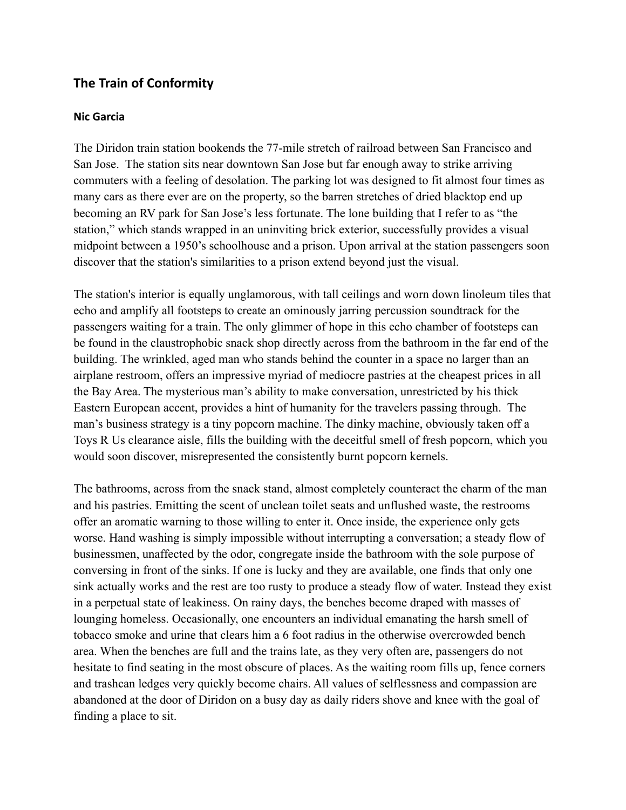## **The Train of Conformity**

## **Nic Garcia**

The Diridon train station bookends the 77-mile stretch of railroad between San Francisco and San Jose. The station sits near downtown San Jose but far enough away to strike arriving commuters with a feeling of desolation. The parking lot was designed to fit almost four times as many cars as there ever are on the property, so the barren stretches of dried blacktop end up becoming an RV park for San Jose's less fortunate. The lone building that I refer to as "the station," which stands wrapped in an uninviting brick exterior, successfully provides a visual midpoint between a 1950's schoolhouse and a prison. Upon arrival at the station passengers soon discover that the station's similarities to a prison extend beyond just the visual.

The station's interior is equally unglamorous, with tall ceilings and worn down linoleum tiles that echo and amplify all footsteps to create an ominously jarring percussion soundtrack for the passengers waiting for a train. The only glimmer of hope in this echo chamber of footsteps can be found in the claustrophobic snack shop directly across from the bathroom in the far end of the building. The wrinkled, aged man who stands behind the counter in a space no larger than an airplane restroom, offers an impressive myriad of mediocre pastries at the cheapest prices in all the Bay Area. The mysterious man's ability to make conversation, unrestricted by his thick Eastern European accent, provides a hint of humanity for the travelers passing through. The man's business strategy is a tiny popcorn machine. The dinky machine, obviously taken off a Toys R Us clearance aisle, fills the building with the deceitful smell of fresh popcorn, which you would soon discover, misrepresented the consistently burnt popcorn kernels.

The bathrooms, across from the snack stand, almost completely counteract the charm of the man and his pastries. Emitting the scent of unclean toilet seats and unflushed waste, the restrooms offer an aromatic warning to those willing to enter it. Once inside, the experience only gets worse. Hand washing is simply impossible without interrupting a conversation; a steady flow of businessmen, unaffected by the odor, congregate inside the bathroom with the sole purpose of conversing in front of the sinks. If one is lucky and they are available, one finds that only one sink actually works and the rest are too rusty to produce a steady flow of water. Instead they exist in a perpetual state of leakiness. On rainy days, the benches become draped with masses of lounging homeless. Occasionally, one encounters an individual emanating the harsh smell of tobacco smoke and urine that clears him a 6 foot radius in the otherwise overcrowded bench area. When the benches are full and the trains late, as they very often are, passengers do not hesitate to find seating in the most obscure of places. As the waiting room fills up, fence corners and trashcan ledges very quickly become chairs. All values of selflessness and compassion are abandoned at the door of Diridon on a busy day as daily riders shove and knee with the goal of finding a place to sit.